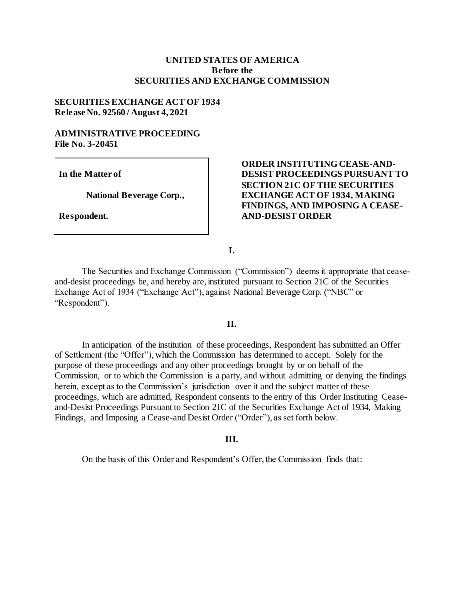## **UNITED STATES OF AMERICA Before the SECURITIES AND EXCHANGE COMMISSION**

## **SECURITIES EXCHANGE ACT OF 1934 Release No. 92560 / August 4, 2021**

# **ADMINISTRATIVE PROCEEDING File No. 3-20451**

**In the Matter of**

**National Beverage Corp.,**

**Respondent.**

# **ORDER INSTITUTING CEASE-AND-DESIST PROCEEDINGS PURSUANT TO SECTION 21C OF THE SECURITIES EXCHANGE ACT OF 1934, MAKING FINDINGS, AND IMPOSING A CEASE-AND-DESIST ORDER**

**I.**

The Securities and Exchange Commission ("Commission") deems it appropriate that ceaseand-desist proceedings be, and hereby are, instituted pursuant to Section 21C of the Securities Exchange Act of 1934 ("Exchange Act"), against National Beverage Corp. ("NBC" or "Respondent").

## **II.**

In anticipation of the institution of these proceedings, Respondent has submitted an Offer of Settlement (the "Offer"), which the Commission has determined to accept. Solely for the purpose of these proceedings and any other proceedings brought by or on behalf of the Commission, or to which the Commission is a party, and without admitting or denying the findings herein, except as to the Commission's jurisdiction over it and the subject matter of these proceedings, which are admitted, Respondent consents to the entry of this Order Instituting Ceaseand-Desist Proceedings Pursuant to Section 21C of the Securities Exchange Act of 1934, Making Findings, and Imposing a Cease-and Desist Order ("Order"), as set forth below.

#### **III.**

On the basis of this Order and Respondent's Offer, the Commission finds that: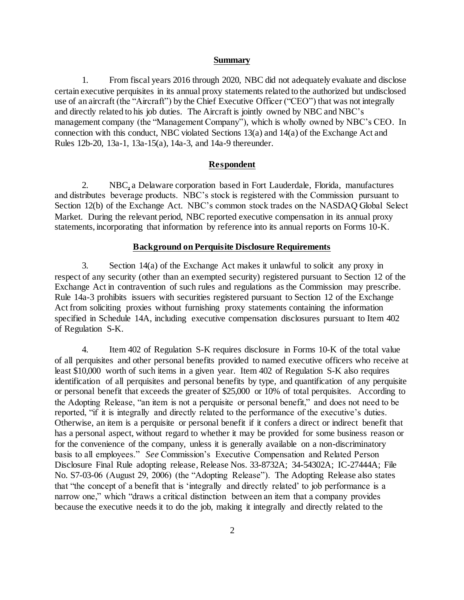#### **Summary**

1. From fiscal years 2016 through 2020, NBC did not adequately evaluate and disclose certain executive perquisites in its annual proxy statements related to the authorized but undisclosed use of an aircraft (the "Aircraft") by the Chief Executive Officer ("CEO") that was not integrally and directly related to his job duties. The Aircraft is jointly owned by NBC and NBC's management company (the "Management Company"), which is wholly owned by NBC's CEO. In connection with this conduct, NBC violated Sections 13(a) and 14(a) of the Exchange Act and Rules 12b-20, 13a-1, 13a-15(a), 14a-3, and 14a-9 thereunder.

#### **Respondent**

2. NBC, a Delaware corporation based in Fort Lauderdale, Florida, manufactures and distributes beverage products. NBC's stock is registered with the Commission pursuant to Section 12(b) of the Exchange Act. NBC's common stock trades on the NASDAQ Global Select Market. During the relevant period, NBC reported executive compensation in its annual proxy statements, incorporating that information by reference into its annual reports on Forms 10-K.

#### **Background on Perquisite Disclosure Requirements**

3. Section 14(a) of the Exchange Act makes it unlawful to solicit any proxy in respect of any security (other than an exempted security) registered pursuant to Section 12 of the Exchange Act in contravention of such rules and regulations as the Commission may prescribe. Rule 14a-3 prohibits issuers with securities registered pursuant to Section 12 of the Exchange Act from soliciting proxies without furnishing proxy statements containing the information specified in Schedule 14A, including executive compensation disclosures pursuant to Item 402 of Regulation S-K.

4. Item 402 of Regulation S-K requires disclosure in Forms 10-K of the total value of all perquisites and other personal benefits provided to named executive officers who receive at least \$10,000 worth of such items in a given year. Item 402 of Regulation S-K also requires identification of all perquisites and personal benefits by type, and quantification of any perquisite or personal benefit that exceeds the greater of \$25,000 or 10% of total perquisites. According to the Adopting Release, "an item is not a perquisite or personal benefit," and does not need to be reported, "if it is integrally and directly related to the performance of the executive's duties. Otherwise, an item is a perquisite or personal benefit if it confers a direct or indirect benefit that has a personal aspect, without regard to whether it may be provided for some business reason or for the convenience of the company, unless it is generally available on a non-discriminatory basis to all employees." *See* Commission's Executive Compensation and Related Person Disclosure Final Rule adopting release, Release Nos. 33-8732A; 34-54302A; IC-27444A; File No. S7-03-06 (August 29, 2006) (the "Adopting Release"). The Adopting Release also states that "the concept of a benefit that is 'integrally and directly related' to job performance is a narrow one," which "draws a critical distinction between an item that a company provides because the executive needs it to do the job, making it integrally and directly related to the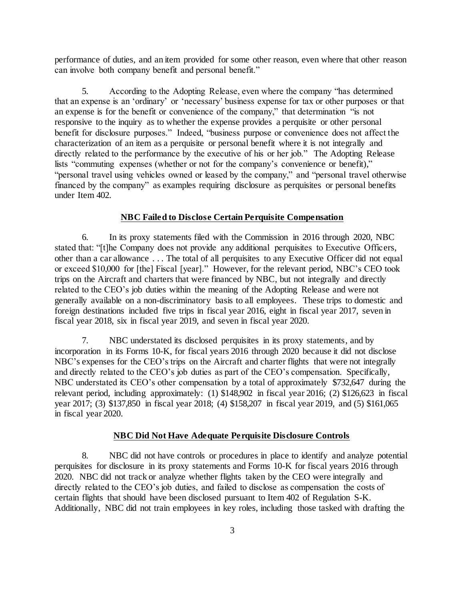performance of duties, and an item provided for some other reason, even where that other reason can involve both company benefit and personal benefit."

5. According to the Adopting Release, even where the company "has determined that an expense is an 'ordinary' or 'necessary' business expense for tax or other purposes or that an expense is for the benefit or convenience of the company," that determination "is not responsive to the inquiry as to whether the expense provides a perquisite or other personal benefit for disclosure purposes." Indeed, "business purpose or convenience does not affect the characterization of an item as a perquisite or personal benefit where it is not integrally and directly related to the performance by the executive of his or her job." The Adopting Release lists "commuting expenses (whether or not for the company's convenience or benefit)," "personal travel using vehicles owned or leased by the company," and "personal travel otherwise financed by the company" as examples requiring disclosure as perquisites or personal benefits under Item 402.

#### **NBC Failed to Disclose Certain Perquisite Compensation**

6. In its proxy statements filed with the Commission in 2016 through 2020, NBC stated that: "[t]he Company does not provide any additional perquisites to Executive Officers, other than a car allowance . . . The total of all perquisites to any Executive Officer did not equal or exceed \$10,000 for [the] Fiscal [year]." However, for the relevant period, NBC's CEO took trips on the Aircraft and charters that were financed by NBC, but not integrally and directly related to the CEO's job duties within the meaning of the Adopting Release and were not generally available on a non-discriminatory basis to all employees. These trips to domestic and foreign destinations included five trips in fiscal year 2016, eight in fiscal year 2017, seven in fiscal year 2018, six in fiscal year 2019, and seven in fiscal year 2020.

7. NBC understated its disclosed perquisites in its proxy statements, and by incorporation in its Forms 10-K, for fiscal years 2016 through 2020 because it did not disclose NBC's expenses for the CEO's trips on the Aircraft and charter flights that were not integrally and directly related to the CEO's job duties as part of the CEO's compensation. Specifically, NBC understated its CEO's other compensation by a total of approximately \$732,647 during the relevant period, including approximately: (1) \$148,902 in fiscal year 2016; (2) \$126,623 in fiscal year 2017; (3) \$137,850 in fiscal year 2018; (4) \$158,207 in fiscal year 2019, and (5) \$161,065 in fiscal year 2020.

#### **NBC Did Not Have Adequate Perquisite Disclosure Controls**

8. NBC did not have controls or procedures in place to identify and analyze potential perquisites for disclosure in its proxy statements and Forms 10-K for fiscal years 2016 through 2020. NBC did not track or analyze whether flights taken by the CEO were integrally and directly related to the CEO's job duties, and failed to disclose as compensation the costs of certain flights that should have been disclosed pursuant to Item 402 of Regulation S-K. Additionally, NBC did not train employees in key roles, including those tasked with drafting the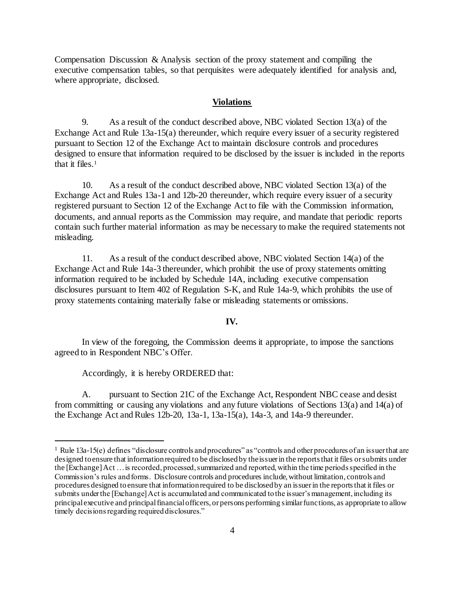Compensation Discussion & Analysis section of the proxy statement and compiling the executive compensation tables, so that perquisites were adequately identified for analysis and, where appropriate, disclosed.

#### **Violations**

9. As a result of the conduct described above, NBC violated Section 13(a) of the Exchange Act and Rule 13a-15(a) thereunder, which require every issuer of a security registered pursuant to Section 12 of the Exchange Act to maintain disclosure controls and procedures designed to ensure that information required to be disclosed by the issuer is included in the reports that it files.<sup>1</sup>

10. As a result of the conduct described above, NBC violated Section 13(a) of the Exchange Act and Rules 13a-1 and 12b-20 thereunder, which require every issuer of a security registered pursuant to Section 12 of the Exchange Act to file with the Commission information, documents, and annual reports as the Commission may require, and mandate that periodic reports contain such further material information as may be necessary to make the required statements not misleading.

11. As a result of the conduct described above, NBC violated Section 14(a) of the Exchange Act and Rule 14a-3 thereunder, which prohibit the use of proxy statements omitting information required to be included by Schedule 14A, including executive compensation disclosures pursuant to Item 402 of Regulation S-K, and Rule 14a-9, which prohibits the use of proxy statements containing materially false or misleading statements or omissions.

## **IV.**

In view of the foregoing, the Commission deems it appropriate*,* to impose the sanctions agreed to in Respondent NBC's Offer.

Accordingly, it is hereby ORDERED that:

l

A. pursuant to Section 21C of the Exchange Act, Respondent NBC cease and desist from committing or causing any violations and any future violations of Sections 13(a) and 14(a) of the Exchange Act and Rules 12b-20, 13a-1, 13a-15(a), 14a-3, and 14a-9 thereunder.

<sup>&</sup>lt;sup>1</sup> Rule 13a-15(e) defines "disclosure controls and procedures" as "controls and other procedures of an issuer that are designed to ensure that information required to be disclosed by the issuer in the reports that it files or submits under the [Exchange] Act … is recorded, processed, summarized and reported, within the time periods specified in the Commission's rules and forms. Disclosure controls and procedures include, without limitation, controls and procedures designed to ensure that information required to be disclosed by an issuer in the reports that it files or submits under the [Exchange] Act is accumulated and communicated to the issuer's management, including its principal executive and principal financial officers, or persons performing similar functions, as appropriate to allow timely decisions regarding required disclosures."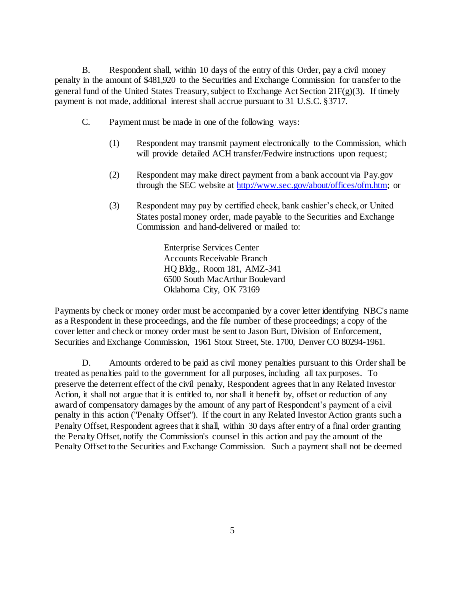B. Respondent shall, within 10 days of the entry of this Order, pay a civil money penalty in the amount of \$481,920 to the Securities and Exchange Commission for transfer to the general fund of the United States Treasury, subject to Exchange Act Section 21F(g)(3). If timely payment is not made, additional interest shall accrue pursuant to 31 U.S.C. §3717.

- C. Payment must be made in one of the following ways:
	- (1) Respondent may transmit payment electronically to the Commission, which will provide detailed ACH transfer/Fedwire instructions upon request;
	- (2) Respondent may make direct payment from a bank account via Pay.gov through the SEC website a[t http://www.sec.gov/about/offices/ofm.htm;](http://www.sec.gov/about/offices/ofm.htm) or
	- (3) Respondent may pay by certified check, bank cashier's check, or United States postal money order, made payable to the Securities and Exchange Commission and hand-delivered or mailed to:

Enterprise Services Center Accounts Receivable Branch HQ Bldg., Room 181, AMZ-341 6500 South MacArthur Boulevard Oklahoma City, OK 73169

Payments by check or money order must be accompanied by a cover letter identifying NBC's name as a Respondent in these proceedings, and the file number of these proceedings; a copy of the cover letter and check or money order must be sent to Jason Burt, Division of Enforcement, Securities and Exchange Commission, 1961 Stout Street, Ste. 1700, Denver CO 80294-1961.

D. Amounts ordered to be paid as civil money penalties pursuant to this Order shall be treated as penalties paid to the government for all purposes, including all tax purposes. To preserve the deterrent effect of the civil penalty, Respondent agrees that in any Related Investor Action, it shall not argue that it is entitled to, nor shall it benefit by, offset or reduction of any award of compensatory damages by the amount of any part of Respondent's payment of a civil penalty in this action ("Penalty Offset"). If the court in any Related Investor Action grants such a Penalty Offset, Respondent agrees that it shall, within 30 days after entry of a final order granting the Penalty Offset, notify the Commission's counsel in this action and pay the amount of the Penalty Offset to the Securities and Exchange Commission. Such a payment shall not be deemed